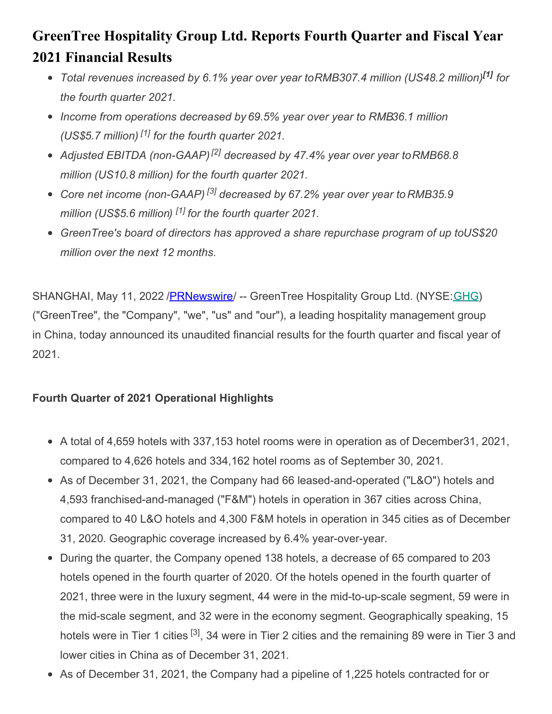# **GreenTree Hospitality Group Ltd. Reports Fourth Quarter and Fiscal Year 2021 Financial Results**

- *Total revenues increased by 6.1% year over year toRMB307.4 million (US48.2 million) for [1] the fourth quarter 2021.*
- *Income from operations decreased by 69.5% year over year to RMB36.1 million (US\$5.7 million)*<sup>[1]</sup> for the fourth quarter 2021.
- *Adjusted EBITDA (non-GAAP) decreased by 47.4% year over year toRMB68.8 [2] million (US10.8 million) for the fourth quarter 2021.*
- *Core net income (non-GAAP) decreased by 67.2% year over year to RMB35.9 [3] million* (US\$5.6 *million)* <sup>[1]</sup> for the fourth quarter 2021.
- *GreenTree's board of directors has approved a share repurchase program of up toUS\$20 million over the next 12 months.*

SHANGHAI, May 11, 2022 /**PRNewswire/** -- GreenTree Hospitality Group Ltd. (NYSE: [GHG](https://www.prnewswire.com/news-releases/greentree-hospitality-group-ltd-reports-fourth-quarter-and-fiscal-year-2021-financial-results-301545613.html#financial-modal)) ("GreenTree", the "Company", "we", "us" and "our"), a leading hospitality management group in China, today announced its unaudited financial results for the fourth quarter and fiscal year of 2021.

# **Fourth Quarter of 2021 Operational Highlights**

- A total of 4,659 hotels with 337,153 hotel rooms were in operation as of December31, 2021, compared to 4,626 hotels and 334,162 hotel rooms as of September 30, 2021.
- As of December 31, 2021, the Company had 66 leased-and-operated ("L&O") hotels and 4,593 franchised-and-managed ("F&M") hotels in operation in 367 cities across China, compared to 40 L&O hotels and 4,300 F&M hotels in operation in 345 cities as of December 31, 2020. Geographic coverage increased by 6.4% year-over-year.
- During the quarter, the Company opened 138 hotels, a decrease of 65 compared to 203 hotels opened in the fourth quarter of 2020. Of the hotels opened in the fourth quarter of 2021, three were in the luxury segment, 44 were in the mid-to-up-scale segment, 59 were in the mid-scale segment, and 32 were in the economy segment. Geographically speaking, 15 hotels were in Tier 1 cities <sup>[3]</sup>, 34 were in Tier 2 cities and the remaining 89 were in Tier 3 and lower cities in China as of December 31, 2021.
- As of December 31, 2021, the Company had a pipeline of 1,225 hotels contracted for or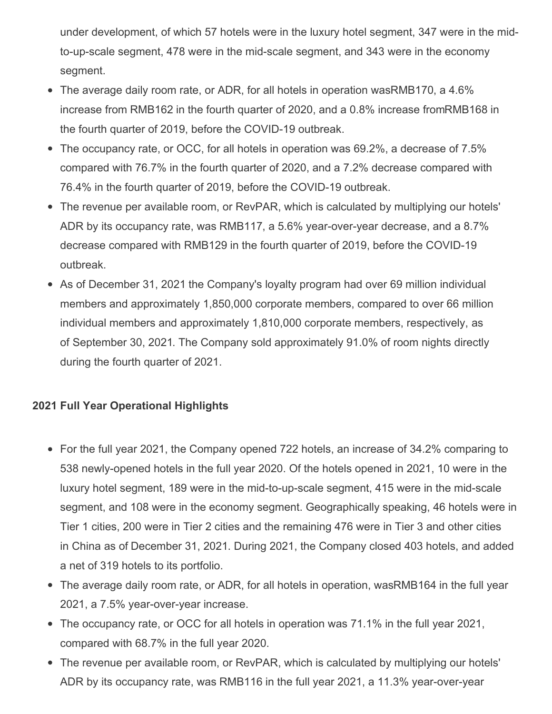under development, of which 57 hotels were in the luxury hotel segment, 347 were in the midto-up-scale segment, 478 were in the mid-scale segment, and 343 were in the economy segment.

- The average daily room rate, or ADR, for all hotels in operation wasRMB170, a 4.6% increase from RMB162 in the fourth quarter of 2020, and a 0.8% increase fromRMB168 in the fourth quarter of 2019, before the COVID-19 outbreak.
- The occupancy rate, or OCC, for all hotels in operation was 69.2%, a decrease of 7.5% compared with 76.7% in the fourth quarter of 2020, and a 7.2% decrease compared with 76.4% in the fourth quarter of 2019, before the COVID-19 outbreak.
- The revenue per available room, or RevPAR, which is calculated by multiplying our hotels' ADR by its occupancy rate, was RMB117, a 5.6% year-over-year decrease, and a 8.7% decrease compared with RMB129 in the fourth quarter of 2019, before the COVID-19 outbreak.
- As of December 31, 2021 the Company's loyalty program had over 69 million individual members and approximately 1,850,000 corporate members, compared to over 66 million individual members and approximately 1,810,000 corporate members, respectively, as of September 30, 2021. The Company sold approximately 91.0% of room nights directly during the fourth quarter of 2021.

### **2021 Full Year Operational Highlights**

- For the full year 2021, the Company opened 722 hotels, an increase of 34.2% comparing to 538 newly-opened hotels in the full year 2020. Of the hotels opened in 2021, 10 were in the luxury hotel segment, 189 were in the mid-to-up-scale segment, 415 were in the mid-scale segment, and 108 were in the economy segment. Geographically speaking, 46 hotels were in Tier 1 cities, 200 were in Tier 2 cities and the remaining 476 were in Tier 3 and other cities in China as of December 31, 2021. During 2021, the Company closed 403 hotels, and added a net of 319 hotels to its portfolio.
- The average daily room rate, or ADR, for all hotels in operation, wasRMB164 in the full year 2021, a 7.5% year-over-year increase.
- The occupancy rate, or OCC for all hotels in operation was 71.1% in the full year 2021, compared with 68.7% in the full year 2020.
- The revenue per available room, or RevPAR, which is calculated by multiplying our hotels' ADR by its occupancy rate, was RMB116 in the full year 2021, a 11.3% year-over-year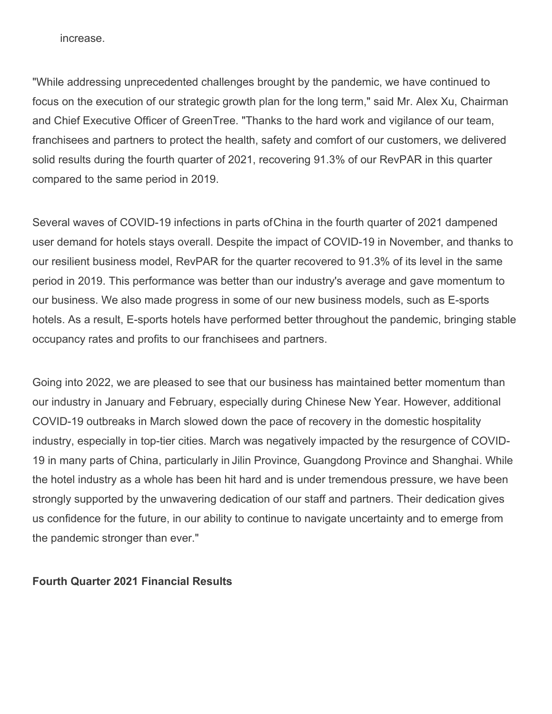increase.

"While addressing unprecedented challenges brought by the pandemic, we have continued to focus on the execution of our strategic growth plan for the long term," said Mr. Alex Xu, Chairman and Chief Executive Officer of GreenTree. "Thanks to the hard work and vigilance of our team, franchisees and partners to protect the health, safety and comfort of our customers, we delivered solid results during the fourth quarter of 2021, recovering 91.3% of our RevPAR in this quarter compared to the same period in 2019.

Several waves of COVID-19 infections in parts ofChina in the fourth quarter of 2021 dampened user demand for hotels stays overall. Despite the impact of COVID-19 in November, and thanks to our resilient business model, RevPAR for the quarter recovered to 91.3% of its level in the same period in 2019. This performance was better than our industry's average and gave momentum to our business. We also made progress in some of our new business models, such as E-sports hotels. As a result, E-sports hotels have performed better throughout the pandemic, bringing stable occupancy rates and profits to our franchisees and partners.

Going into 2022, we are pleased to see that our business has maintained better momentum than our industry in January and February, especially during Chinese New Year. However, additional COVID-19 outbreaks in March slowed down the pace of recovery in the domestic hospitality industry, especially in top-tier cities. March was negatively impacted by the resurgence of COVID-19 in many parts of China, particularly in Jilin Province, Guangdong Province and Shanghai. While the hotel industry as a whole has been hit hard and is under tremendous pressure, we have been strongly supported by the unwavering dedication of our staff and partners. Their dedication gives us confidence for the future, in our ability to continue to navigate uncertainty and to emerge from the pandemic stronger than ever."

#### **Fourth Quarter 2021 Financial Results**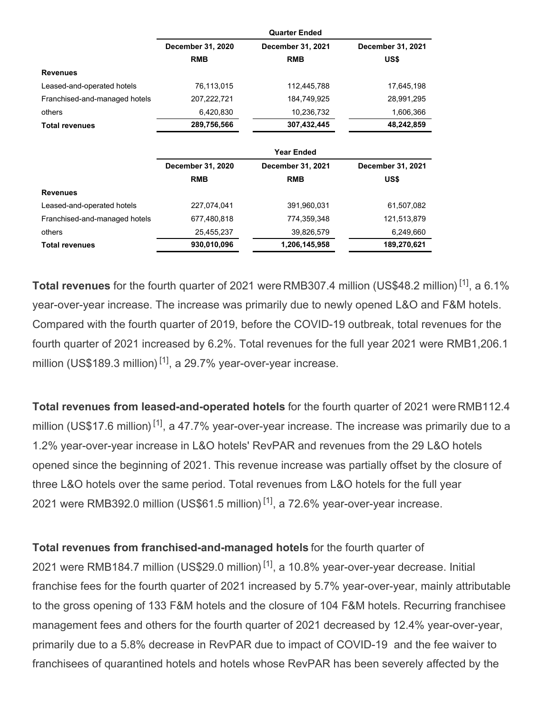|                               |                   | <b>Quarter Ended</b> |                   |
|-------------------------------|-------------------|----------------------|-------------------|
|                               | December 31, 2020 | December 31, 2021    | December 31, 2021 |
|                               | <b>RMB</b>        | <b>RMB</b>           | US\$              |
| <b>Revenues</b>               |                   |                      |                   |
| Leased-and-operated hotels    | 76,113,015        | 112,445,788          | 17,645,198        |
| Franchised-and-managed hotels | 207, 222, 721     | 184,749,925          | 28,991,295        |
| others                        | 6,420,830         | 10,236,732           | 1,606,366         |
| <b>Total revenues</b>         | 289,756,566       | 307,432,445          | 48,242,859        |
|                               |                   | <b>Year Ended</b>    |                   |
|                               | December 31, 2020 | December 31, 2021    | December 31, 2021 |
|                               | <b>RMB</b>        | <b>RMB</b>           | US\$              |
| <b>Revenues</b>               |                   |                      |                   |
| Leased-and-operated hotels    | 227,074,041       | 391,960,031          | 61,507,082        |
| Franchised-and-managed hotels | 677,480,818       | 774,359,348          | 121,513,879       |
| others                        | 25,455,237        | 39,826,579           | 6,249,660         |
| <b>Total revenues</b>         | 930,010,096       | 1,206,145,958        | 189,270,621       |

**Total revenues** for the fourth quarter of 2021 were RMB307.4 million (US\$48.2 million)<sup>[1]</sup>, a 6.1% year-over-year increase. The increase was primarily due to newly opened L&O and F&M hotels. Compared with the fourth quarter of 2019, before the COVID-19 outbreak, total revenues for the fourth quarter of 2021 increased by 6.2%. Total revenues for the full year 2021 were RMB1,206.1 million (US\$189.3 million)<sup>[1]</sup>, a 29.7% year-over-year increase.

**Total revenues from leased-and-operated hotels** for the fourth quarter of 2021 were RMB112.4 million (US\$17.6 million)<sup>[1]</sup>, a 47.7% year-over-year increase. The increase was primarily due to a 1.2% year-over-year increase in L&O hotels' RevPAR and revenues from the 29 L&O hotels opened since the beginning of 2021. This revenue increase was partially offset by the closure of three L&O hotels over the same period. Total revenues from L&O hotels for the full year 2021 were RMB392.0 million (US\$61.5 million)<sup>[1]</sup>, a 72.6% year-over-year increase.

**Total revenues from franchised-and-managed hotels** for the fourth quarter of 2021 were RMB184.7 million (US\$29.0 million)<sup>[1]</sup>, a 10.8% year-over-year decrease. Initial franchise fees for the fourth quarter of 2021 increased by 5.7% year-over-year, mainly attributable to the gross opening of 133 F&M hotels and the closure of 104 F&M hotels. Recurring franchisee management fees and others for the fourth quarter of 2021 decreased by 12.4% year-over-year, primarily due to a 5.8% decrease in RevPAR due to impact of COVID-19 and the fee waiver to franchisees of quarantined hotels and hotels whose RevPAR has been severely affected by the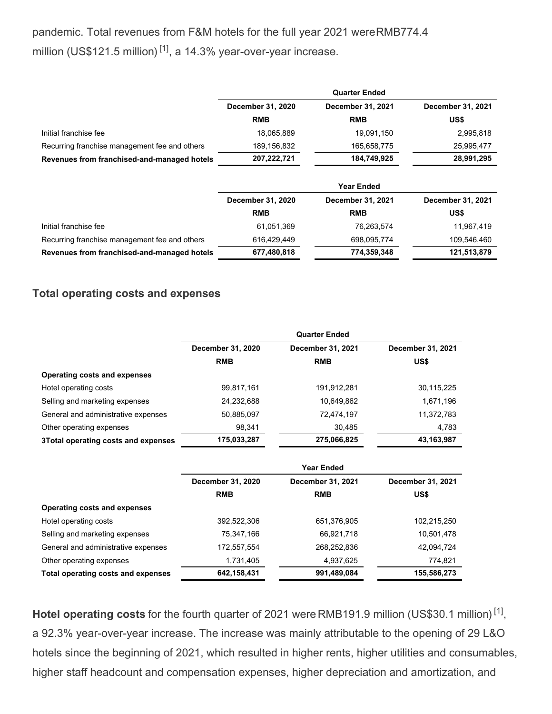pandemic. Total revenues from F&M hotels for the full year 2021 wereRMB774.4 million (US\$121.5 million)<sup>[1]</sup>, a 14.3% year-over-year increase.

|                                               | <b>Quarter Ended</b> |                   |                   |  |
|-----------------------------------------------|----------------------|-------------------|-------------------|--|
|                                               | December 31, 2020    | December 31, 2021 | December 31, 2021 |  |
|                                               | <b>RMB</b>           | <b>RMB</b>        | US\$              |  |
| Initial franchise fee                         | 18,065,889           | 19,091,150        | 2,995,818         |  |
| Recurring franchise management fee and others | 189,156,832          | 165,658,775       | 25,995,477        |  |
| Revenues from franchised-and-managed hotels   | 207,222,721          | 184,749,925       | 28,991,295        |  |

|                                               | <b>Year Ended</b>        |                   |                   |  |
|-----------------------------------------------|--------------------------|-------------------|-------------------|--|
|                                               | <b>December 31, 2020</b> | December 31, 2021 | December 31, 2021 |  |
|                                               | <b>RMB</b>               | <b>RMB</b>        | US\$              |  |
| Initial franchise fee                         | 61,051,369               | 76,263,574        | 11,967,419        |  |
| Recurring franchise management fee and others | 616,429,449              | 698,095,774       | 109,546,460       |  |
| Revenues from franchised-and-managed hotels   | 677,480,818              | 774,359,348       | 121,513,879       |  |

### **Total operating costs and expenses**

|                                     | <b>Quarter Ended</b>     |                   |                   |  |
|-------------------------------------|--------------------------|-------------------|-------------------|--|
|                                     | <b>December 31, 2020</b> | December 31, 2021 | December 31, 2021 |  |
|                                     | <b>RMB</b>               | <b>RMB</b>        | US\$              |  |
| Operating costs and expenses        |                          |                   |                   |  |
| Hotel operating costs               | 99,817,161               | 191,912,281       | 30,115,225        |  |
| Selling and marketing expenses      | 24,232,688               | 10,649,862        | 1,671,196         |  |
| General and administrative expenses | 50,885,097               | 72,474,197        | 11,372,783        |  |
| Other operating expenses            | 98,341                   | 30,485            | 4,783             |  |
| 3Total operating costs and expenses | 175,033,287              | 275,066,825       | 43,163,987        |  |

|                                     | <b>Year Ended</b> |                   |                   |  |  |
|-------------------------------------|-------------------|-------------------|-------------------|--|--|
|                                     | December 31, 2020 | December 31, 2021 | December 31, 2021 |  |  |
|                                     | <b>RMB</b>        | <b>RMB</b>        | US\$              |  |  |
| Operating costs and expenses        |                   |                   |                   |  |  |
| Hotel operating costs               | 392.522.306       | 651.376.905       | 102,215,250       |  |  |
| Selling and marketing expenses      | 75,347,166        | 66,921,718        | 10,501,478        |  |  |
| General and administrative expenses | 172,557,554       | 268,252,836       | 42,094,724        |  |  |
| Other operating expenses            | 1,731,405         | 4,937,625         | 774,821           |  |  |
| Total operating costs and expenses  | 642,158,431       | 991,489,084       | 155,586,273       |  |  |

Hotel operating costs for the fourth quarter of 2021 were RMB191.9 million (US\$30.1 million)<sup>[1]</sup>, a 92.3% year-over-year increase. The increase was mainly attributable to the opening of 29 L&O hotels since the beginning of 2021, which resulted in higher rents, higher utilities and consumables, higher staff headcount and compensation expenses, higher depreciation and amortization, and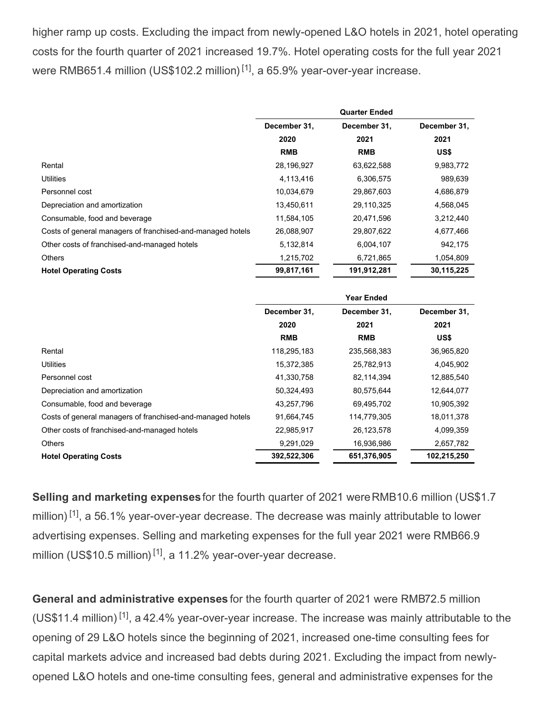higher ramp up costs. Excluding the impact from newly-opened L&O hotels in 2021, hotel operating costs for the fourth quarter of 2021 increased 19.7%. Hotel operating costs for the full year 2021 were RMB651.4 million (US\$102.2 million)<sup>[1]</sup>, a 65.9% year-over-year increase.

|                                                            |              | <b>Quarter Ended</b> |              |
|------------------------------------------------------------|--------------|----------------------|--------------|
|                                                            | December 31, | December 31,         | December 31, |
|                                                            | 2020         | 2021                 | 2021         |
|                                                            | <b>RMB</b>   | <b>RMB</b>           | US\$         |
| Rental                                                     | 28,196,927   | 63,622,588           | 9,983,772    |
| <b>Utilities</b>                                           | 4,113,416    | 6,306,575            | 989,639      |
| Personnel cost                                             | 10,034,679   | 29,867,603           | 4,686,879    |
| Depreciation and amortization                              | 13,450,611   | 29,110,325           | 4,568,045    |
| Consumable, food and beverage                              | 11,584,105   | 20,471,596           | 3,212,440    |
| Costs of general managers of franchised-and-managed hotels | 26,088,907   | 29,807,622           | 4,677,466    |
| Other costs of franchised-and-managed hotels               | 5,132,814    | 6,004,107            | 942,175      |
| <b>Others</b>                                              | 1,215,702    | 6,721,865            | 1,054,809    |
| <b>Hotel Operating Costs</b>                               | 99,817,161   | 191,912,281          | 30,115,225   |
|                                                            |              |                      |              |

|                                                            | <b>Year Ended</b> |              |              |  |
|------------------------------------------------------------|-------------------|--------------|--------------|--|
|                                                            | December 31,      | December 31, | December 31, |  |
|                                                            | 2020              | 2021         | 2021         |  |
|                                                            | <b>RMB</b>        | <b>RMB</b>   | US\$         |  |
| Rental                                                     | 118,295,183       | 235,568,383  | 36,965,820   |  |
| <b>Utilities</b>                                           | 15,372,385        | 25,782,913   | 4,045,902    |  |
| Personnel cost                                             | 41,330,758        | 82,114,394   | 12,885,540   |  |
| Depreciation and amortization                              | 50,324,493        | 80,575,644   | 12,644,077   |  |
| Consumable, food and beverage                              | 43,257,796        | 69,495,702   | 10,905,392   |  |
| Costs of general managers of franchised-and-managed hotels | 91.664.745        | 114.779.305  | 18,011,378   |  |
| Other costs of franchised-and-managed hotels               | 22,985,917        | 26,123,578   | 4,099,359    |  |
| <b>Others</b>                                              | 9,291,029         | 16,936,986   | 2,657,782    |  |
| <b>Hotel Operating Costs</b>                               | 392,522,306       | 651,376,905  | 102,215,250  |  |

**Selling and marketing expenses**for the fourth quarter of 2021 wereRMB10.6 million (US\$1.7 million) <sup>[1]</sup>, a 56.1% year-over-year decrease. The decrease was mainly attributable to lower advertising expenses. Selling and marketing expenses for the full year 2021 were RMB66.9 million (US\$10.5 million) $^{[1]}$ , a 11.2% year-over-year decrease.

**General and administrative expenses** for the fourth quarter of 2021 were RMB72.5 million (US\$11.4 million)<sup>[1]</sup>, a 42.4% year-over-year increase. The increase was mainly attributable to the opening of 29 L&O hotels since the beginning of 2021, increased one-time consulting fees for capital markets advice and increased bad debts during 2021. Excluding the impact from newlyopened L&O hotels and one-time consulting fees, general and administrative expenses for the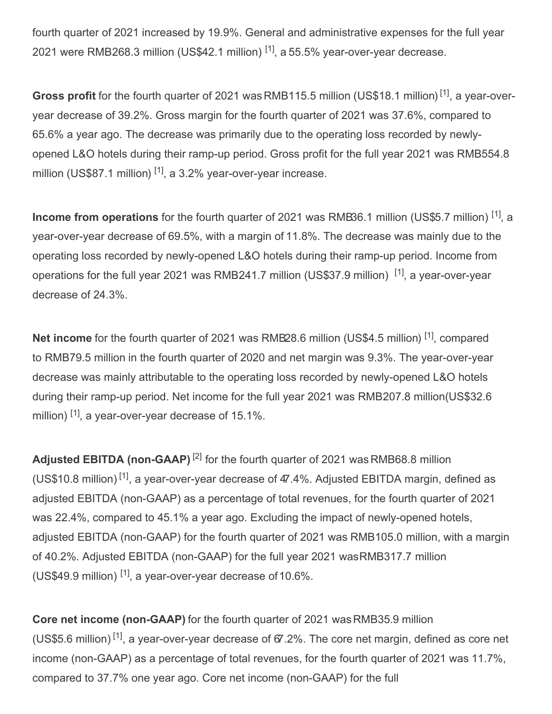fourth quarter of 2021 increased by 19.9%. General and administrative expenses for the full year 2021 were RMB268.3 million (US\$42.1 million)  $^{[1]}$ , a 55.5% year-over-year decrease.

Gross profit for the fourth quarter of 2021 was RMB115.5 million (US\$18.1 million)<sup>[1]</sup>, a year-overyear decrease of 39.2%. Gross margin for the fourth quarter of 2021 was 37.6%, compared to 65.6% a year ago. The decrease was primarily due to the operating loss recorded by newlyopened L&O hotels during their ramp-up period. Gross profit for the full year 2021 was RMB554.8 million (US\$87.1 million) <sup>[1]</sup>, a 3.2% year-over-year increase.

**Income from operations** for the fourth quarter of 2021 was RMB36.1 million (US\$5.7 million) <sup>[1]</sup>, a year-over-year decrease of 69.5%, with a margin of 11.8%. The decrease was mainly due to the operating loss recorded by newly-opened L&O hotels during their ramp-up period. Income from operations for the full year 2021 was RMB241.7 million (US\$37.9 million)  $[1]$ , a year-over-year decrease of 24.3%.

Net income for the fourth quarter of 2021 was RMB28.6 million (US\$4.5 million) <sup>[1]</sup>, compared to RMB79.5 million in the fourth quarter of 2020 and net margin was 9.3%. The year-over-year decrease was mainly attributable to the operating loss recorded by newly-opened L&O hotels during their ramp-up period. Net income for the full year 2021 was RMB207.8 million(US\$32.6 million) <sup>[1]</sup>, a year-over-year decrease of 15.1%.

Adjusted EBITDA (non-GAAP)<sup>[2]</sup> for the fourth quarter of 2021 was RMB68.8 million (US\$10.8 million)<sup>[1]</sup>, a year-over-year decrease of  $47.4\%$ . Adjusted EBITDA margin, defined as adjusted EBITDA (non-GAAP) as a percentage of total revenues, for the fourth quarter of 2021 was 22.4%, compared to 45.1% a year ago. Excluding the impact of newly-opened hotels, adjusted EBITDA (non-GAAP) for the fourth quarter of 2021 was RMB105.0 million, with a margin of 40.2%. Adjusted EBITDA (non-GAAP) for the full year 2021 wasRMB317.7 million (US\$49.9 million)  $^{[1]}$ , a year-over-year decrease of 10.6%.

**Core net income (non-GAAP)** for the fourth quarter of 2021 was RMB35.9 million (US\$5.6 million)<sup>[1]</sup>, a year-over-year decrease of  $67.2\%$ . The core net margin, defined as core net income (non-GAAP) as a percentage of total revenues, for the fourth quarter of 2021 was 11.7%, compared to 37.7% one year ago. Core net income (non-GAAP) for the full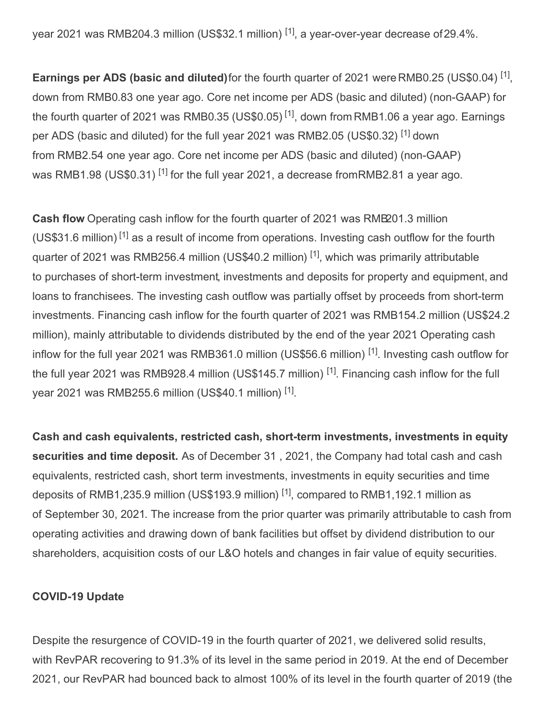**Earnings per ADS (basic and diluted) for the fourth quarter of 2021 were RMB0.25 (US\$0.04) [1],** down from RMB0.83 one year ago. Core net income per ADS (basic and diluted) (non-GAAP) for the fourth quarter of 2021 was RMB0.35 (US\$0.05)<sup>[1]</sup>, down from RMB1.06 a year ago. Earnings per ADS (basic and diluted) for the full year 2021 was RMB2.05 (US\$0.32)  $^{[1]}$  down from RMB2.54 one year ago. Core net income per ADS (basic and diluted) (non-GAAP) was RMB1.98 (US\$0.31)  $^{[1]}$  for the full year 2021, a decrease fromRMB2.81 a year ago.

**Cash flow** Operating cash inflow for the fourth quarter of 2021 was RMB201.3 million (US\$31.6 million)<sup>[1]</sup> as a result of income from operations. Investing cash outflow for the fourth quarter of 2021 was RMB256.4 million (US\$40.2 million)<sup>[1]</sup>, which was primarily attributable to purchases of short-term investment, investments and deposits for property and equipment, and loans to franchisees. The investing cash outflow was partially offset by proceeds from short-term investments. Financing cash inflow for the fourth quarter of 2021 was RMB154.2 million (US\$24.2 million), mainly attributable to dividends distributed by the end of the year 2021. Operating cash inflow for the full year 2021 was RMB361.0 million (US\$56.6 million)  $^{[1]}$ . Investing cash outflow for the full year 2021 was RMB928.4 million (US\$145.7 million)  $^{[1]}$ . Financing cash inflow for the full year 2021 was RMB255.6 million (US\$40.1 million)  $^{[1]}$ .

**Cash and cash equivalents, restricted cash, short-term investments, investments in equity securities and time deposit.** As of December 31 , 2021, the Company had total cash and cash equivalents, restricted cash, short term investments, investments in equity securities and time deposits of RMB1,235.9 million (US\$193.9 million)  $^{[1]}$ , compared to RMB1,192.1 million as of September 30, 2021. The increase from the prior quarter was primarily attributable to cash from operating activities and drawing down of bank facilities but offset by dividend distribution to our shareholders, acquisition costs of our L&O hotels and changes in fair value of equity securities.

#### **COVID-19 Update**

Despite the resurgence of COVID-19 in the fourth quarter of 2021, we delivered solid results, with RevPAR recovering to 91.3% of its level in the same period in 2019. At the end of December 2021, our RevPAR had bounced back to almost 100% of its level in the fourth quarter of 2019 (the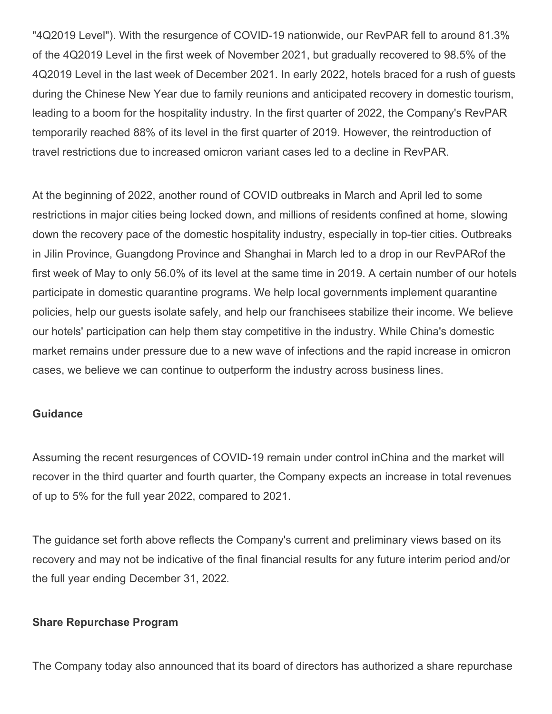"4Q2019 Level"). With the resurgence of COVID-19 nationwide, our RevPAR fell to around 81.3% of the 4Q2019 Level in the first week of November 2021, but gradually recovered to 98.5% of the 4Q2019 Level in the last week of December 2021. In early 2022, hotels braced for a rush of guests during the Chinese New Year due to family reunions and anticipated recovery in domestic tourism, leading to a boom for the hospitality industry. In the first quarter of 2022, the Company's RevPAR temporarily reached 88% of its level in the first quarter of 2019. However, the reintroduction of travel restrictions due to increased omicron variant cases led to a decline in RevPAR.

At the beginning of 2022, another round of COVID outbreaks in March and April led to some restrictions in major cities being locked down, and millions of residents confined at home, slowing down the recovery pace of the domestic hospitality industry, especially in top-tier cities. Outbreaks in Jilin Province, Guangdong Province and Shanghai in March led to a drop in our RevPARof the first week of May to only 56.0% of its level at the same time in 2019. A certain number of our hotels participate in domestic quarantine programs. We help local governments implement quarantine policies, help our guests isolate safely, and help our franchisees stabilize their income. We believe our hotels' participation can help them stay competitive in the industry. While China's domestic market remains under pressure due to a new wave of infections and the rapid increase in omicron cases, we believe we can continue to outperform the industry across business lines.

#### **Guidance**

Assuming the recent resurgences of COVID-19 remain under control inChina and the market will recover in the third quarter and fourth quarter, the Company expects an increase in total revenues of up to 5% for the full year 2022, compared to 2021.

The guidance set forth above reflects the Company's current and preliminary views based on its recovery and may not be indicative of the final financial results for any future interim period and/or the full year ending December 31, 2022.

#### **Share Repurchase Program**

The Company today also announced that its board of directors has authorized a share repurchase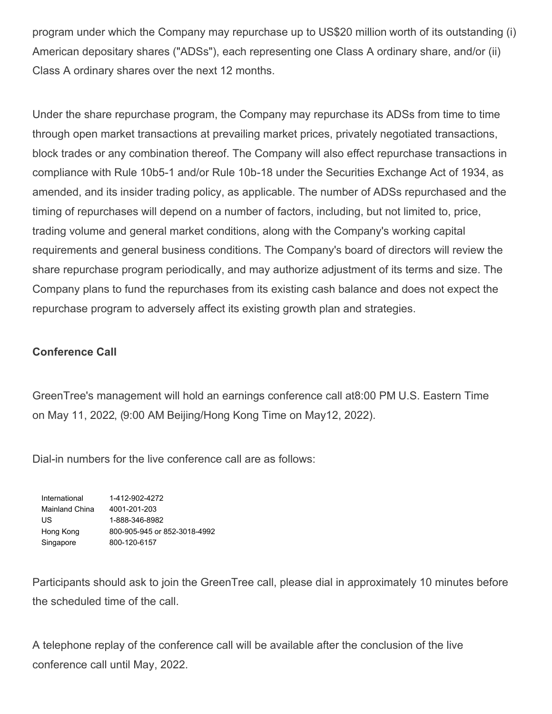program under which the Company may repurchase up to US\$20 million worth of its outstanding (i) American depositary shares ("ADSs"), each representing one Class A ordinary share, and/or (ii) Class A ordinary shares over the next 12 months.

Under the share repurchase program, the Company may repurchase its ADSs from time to time through open market transactions at prevailing market prices, privately negotiated transactions, block trades or any combination thereof. The Company will also effect repurchase transactions in compliance with Rule 10b5-1 and/or Rule 10b-18 under the Securities Exchange Act of 1934, as amended, and its insider trading policy, as applicable. The number of ADSs repurchased and the timing of repurchases will depend on a number of factors, including, but not limited to, price, trading volume and general market conditions, along with the Company's working capital requirements and general business conditions. The Company's board of directors will review the share repurchase program periodically, and may authorize adjustment of its terms and size. The Company plans to fund the repurchases from its existing cash balance and does not expect the repurchase program to adversely affect its existing growth plan and strategies.

### **Conference Call**

GreenTree's management will hold an earnings conference call at8:00 PM U.S. Eastern Time on May 11, 2022, (9:00 AM Beijing/Hong Kong Time on May12, 2022).

Dial-in numbers for the live conference call are as follows:

International 1-412-902-4272 Mainland China 4001-201-203 US 1-888-346-8982 Hong Kong 800-905-945 or 852-3018-4992 Singapore 800-120-6157

Participants should ask to join the GreenTree call, please dial in approximately 10 minutes before the scheduled time of the call.

A telephone replay of the conference call will be available after the conclusion of the live conference call until May, 2022.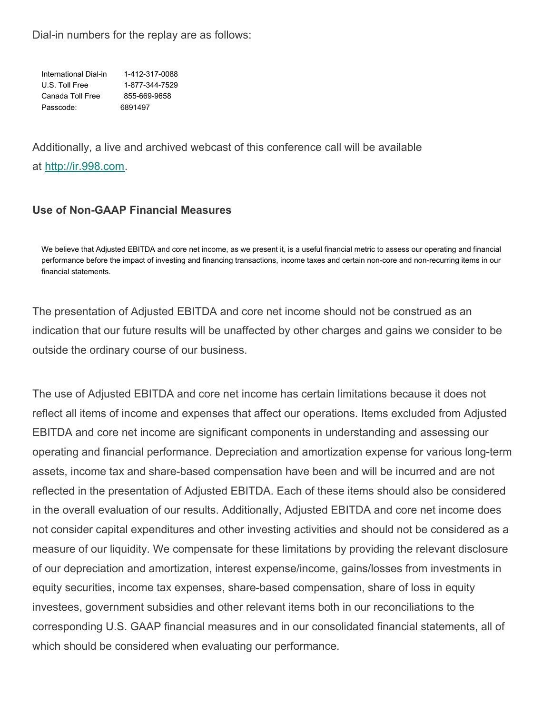Dial-in numbers for the replay are as follows:

International Dial-in 1-412-317-0088 U.S. Toll Free 1-877-344-7529 Canada Toll Free 855-669-9658 Passcode: 6891497

Additionally, a live and archived webcast of this conference call will be available at [http://ir.998.com](http://ir.998.com/).

#### **Use of Non-GAAP Financial Measures**

We believe that Adjusted EBITDA and core net income, as we present it, is a useful financial metric to assess our operating and financial performance before the impact of investing and financing transactions, income taxes and certain non-core and non-recurring items in our financial statements.

The presentation of Adjusted EBITDA and core net income should not be construed as an indication that our future results will be unaffected by other charges and gains we consider to be outside the ordinary course of our business.

The use of Adjusted EBITDA and core net income has certain limitations because it does not reflect all items of income and expenses that affect our operations. Items excluded from Adjusted EBITDA and core net income are significant components in understanding and assessing our operating and financial performance. Depreciation and amortization expense for various long-term assets, income tax and share-based compensation have been and will be incurred and are not reflected in the presentation of Adjusted EBITDA. Each of these items should also be considered in the overall evaluation of our results. Additionally, Adjusted EBITDA and core net income does not consider capital expenditures and other investing activities and should not be considered as a measure of our liquidity. We compensate for these limitations by providing the relevant disclosure of our depreciation and amortization, interest expense/income, gains/losses from investments in equity securities, income tax expenses, share-based compensation, share of loss in equity investees, government subsidies and other relevant items both in our reconciliations to the corresponding U.S. GAAP financial measures and in our consolidated financial statements, all of which should be considered when evaluating our performance.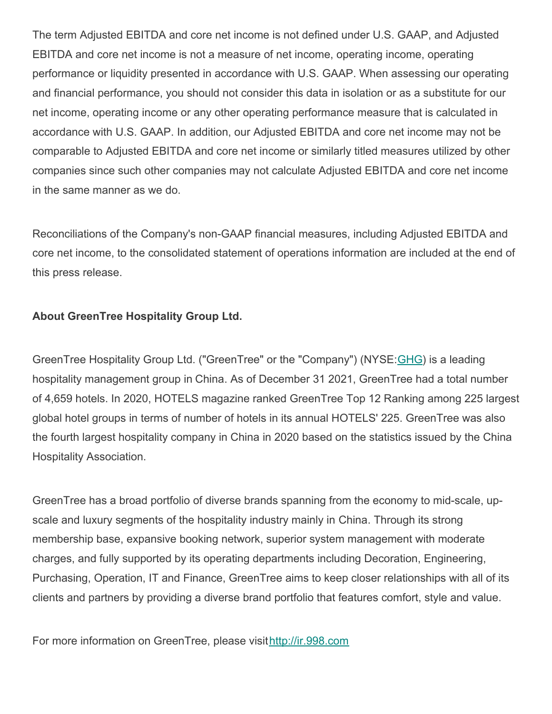The term Adjusted EBITDA and core net income is not defined under U.S. GAAP, and Adjusted EBITDA and core net income is not a measure of net income, operating income, operating performance or liquidity presented in accordance with U.S. GAAP. When assessing our operating and financial performance, you should not consider this data in isolation or as a substitute for our net income, operating income or any other operating performance measure that is calculated in accordance with U.S. GAAP. In addition, our Adjusted EBITDA and core net income may not be comparable to Adjusted EBITDA and core net income or similarly titled measures utilized by other companies since such other companies may not calculate Adjusted EBITDA and core net income in the same manner as we do.

Reconciliations of the Company's non-GAAP financial measures, including Adjusted EBITDA and core net income, to the consolidated statement of operations information are included at the end of this press release.

### **About GreenTree Hospitality Group Ltd.**

GreenTree Hospitality Group Ltd. ("GreenTree" or the "Company") (NYSE: GHG) is a leading hospitality management group in China. As of December 31 2021, GreenTree had a total number of 4,659 hotels. In 2020, HOTELS magazine ranked GreenTree Top 12 Ranking among 225 largest global hotel groups in terms of number of hotels in its annual HOTELS' 225. GreenTree was also the fourth largest hospitality company in China in 2020 based on the statistics issued by the China Hospitality Association.

GreenTree has a broad portfolio of diverse brands spanning from the economy to mid-scale, upscale and luxury segments of the hospitality industry mainly in China. Through its strong membership base, expansive booking network, superior system management with moderate charges, and fully supported by its operating departments including Decoration, Engineering, Purchasing, Operation, IT and Finance, GreenTree aims to keep closer relationships with all of its clients and partners by providing a diverse brand portfolio that features comfort, style and value.

For more information on GreenTree, please visit[http://ir.998.com](http://ir.998.com/)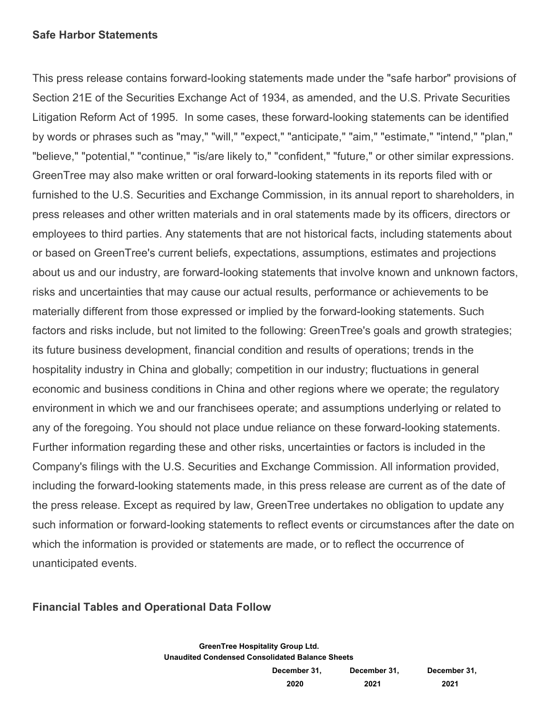#### **Safe Harbor Statements**

This press release contains forward-looking statements made under the "safe harbor" provisions of Section 21E of the Securities Exchange Act of 1934, as amended, and the U.S. Private Securities Litigation Reform Act of 1995. In some cases, these forward-looking statements can be identified by words or phrases such as "may," "will," "expect," "anticipate," "aim," "estimate," "intend," "plan," "believe," "potential," "continue," "is/are likely to," "confident," "future," or other similar expressions. GreenTree may also make written or oral forward-looking statements in its reports filed with or furnished to the U.S. Securities and Exchange Commission, in its annual report to shareholders, in press releases and other written materials and in oral statements made by its officers, directors or employees to third parties. Any statements that are not historical facts, including statements about or based on GreenTree's current beliefs, expectations, assumptions, estimates and projections about us and our industry, are forward-looking statements that involve known and unknown factors, risks and uncertainties that may cause our actual results, performance or achievements to be materially different from those expressed or implied by the forward-looking statements. Such factors and risks include, but not limited to the following: GreenTree's goals and growth strategies; its future business development, financial condition and results of operations; trends in the hospitality industry in China and globally; competition in our industry; fluctuations in general economic and business conditions in China and other regions where we operate; the regulatory environment in which we and our franchisees operate; and assumptions underlying or related to any of the foregoing. You should not place undue reliance on these forward-looking statements. Further information regarding these and other risks, uncertainties or factors is included in the Company's filings with the U.S. Securities and Exchange Commission. All information provided, including the forward-looking statements made, in this press release are current as of the date of the press release. Except as required by law, GreenTree undertakes no obligation to update any such information or forward-looking statements to reflect events or circumstances after the date on which the information is provided or statements are made, or to reflect the occurrence of unanticipated events.

### **Financial Tables and Operational Data Follow**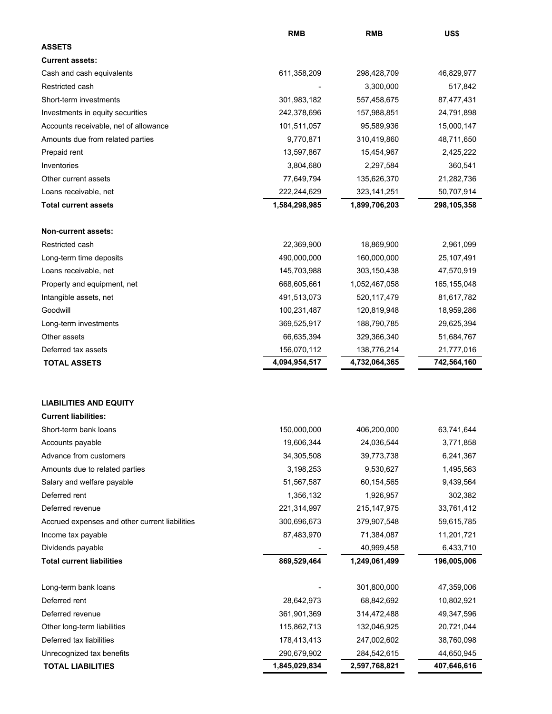|                                                | <b>RMB</b>    | <b>RMB</b>    | US\$          |
|------------------------------------------------|---------------|---------------|---------------|
| <b>ASSETS</b>                                  |               |               |               |
| <b>Current assets:</b>                         |               |               |               |
| Cash and cash equivalents                      | 611,358,209   | 298,428,709   | 46,829,977    |
| Restricted cash                                |               | 3,300,000     | 517,842       |
| Short-term investments                         | 301,983,182   | 557,458,675   | 87,477,431    |
| Investments in equity securities               | 242,378,696   | 157,988,851   | 24,791,898    |
| Accounts receivable, net of allowance          | 101,511,057   | 95,589,936    | 15,000,147    |
| Amounts due from related parties               | 9,770,871     | 310,419,860   | 48,711,650    |
| Prepaid rent                                   | 13,597,867    | 15,454,967    | 2,425,222     |
| Inventories                                    | 3,804,680     | 2,297,584     | 360,541       |
| Other current assets                           | 77,649,794    | 135,626,370   | 21,282,736    |
| Loans receivable, net                          | 222,244,629   | 323, 141, 251 | 50,707,914    |
| <b>Total current assets</b>                    | 1,584,298,985 | 1,899,706,203 | 298,105,358   |
| <b>Non-current assets:</b>                     |               |               |               |
| Restricted cash                                | 22,369,900    | 18,869,900    | 2,961,099     |
| Long-term time deposits                        | 490,000,000   | 160,000,000   | 25,107,491    |
| Loans receivable, net                          | 145,703,988   | 303,150,438   | 47,570,919    |
| Property and equipment, net                    | 668,605,661   | 1,052,467,058 | 165, 155, 048 |
| Intangible assets, net                         | 491,513,073   | 520,117,479   | 81,617,782    |
| Goodwill                                       | 100,231,487   | 120,819,948   | 18,959,286    |
| Long-term investments                          | 369,525,917   | 188,790,785   | 29,625,394    |
| Other assets                                   | 66,635,394    | 329,366,340   | 51,684,767    |
| Deferred tax assets                            | 156,070,112   | 138,776,214   | 21,777,016    |
| <b>TOTAL ASSETS</b>                            | 4,094,954,517 | 4,732,064,365 | 742,564,160   |
|                                                |               |               |               |
| <b>LIABILITIES AND EQUITY</b>                  |               |               |               |
| <b>Current liabilities:</b>                    |               |               |               |
| Short-term bank loans                          | 150,000,000   | 406,200,000   | 63,741,644    |
| Accounts payable                               | 19,606,344    | 24,036,544    | 3,771,858     |
| Advance from customers                         | 34,305,508    | 39,773,738    | 6,241,367     |
| Amounts due to related parties                 | 3,198,253     | 9,530,627     | 1,495,563     |
| Salary and welfare payable                     | 51,567,587    | 60,154,565    | 9,439,564     |
| Deferred rent                                  | 1,356,132     | 1,926,957     | 302,382       |
| Deferred revenue                               | 221,314,997   | 215, 147, 975 | 33,761,412    |
| Accrued expenses and other current liabilities | 300,696,673   | 379,907,548   | 59,615,785    |
| Income tax payable                             | 87,483,970    | 71,384,087    | 11,201,721    |
| Dividends payable                              |               | 40,999,458    | 6,433,710     |
| <b>Total current liabilities</b>               | 869,529,464   | 1,249,061,499 | 196,005,006   |
|                                                |               |               |               |
| Long-term bank loans                           |               | 301,800,000   | 47,359,006    |
| Deferred rent                                  | 28,642,973    | 68,842,692    | 10,802,921    |
| Deferred revenue                               | 361,901,369   | 314,472,488   | 49,347,596    |
| Other long-term liabilities                    | 115,862,713   | 132,046,925   | 20,721,044    |
| Deferred tax liabilities                       | 178,413,413   | 247,002,602   | 38,760,098    |
| Unrecognized tax benefits                      | 290,679,902   | 284,542,615   | 44,650,945    |
| <b>TOTAL LIABILITIES</b>                       | 1,845,029,834 | 2,597,768,821 | 407,646,616   |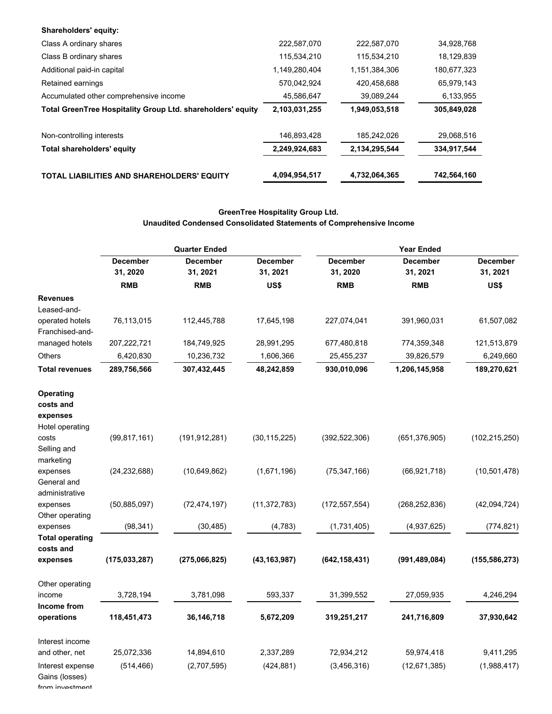| Shareholders' equity:                                              |               |               |             |
|--------------------------------------------------------------------|---------------|---------------|-------------|
| Class A ordinary shares                                            | 222,587,070   | 222,587,070   | 34,928,768  |
| Class B ordinary shares                                            | 115,534,210   | 115,534,210   | 18,129,839  |
| Additional paid-in capital                                         | 1,149,280,404 | 1,151,384,306 | 180,677,323 |
| Retained earnings                                                  | 570,042,924   | 420,458,688   | 65,979,143  |
| Accumulated other comprehensive income                             | 45,586,647    | 39,089,244    | 6,133,955   |
| <b>Total GreenTree Hospitality Group Ltd. shareholders' equity</b> | 2,103,031,255 | 1,949,053,518 | 305,849,028 |
| Non-controlling interests                                          | 146,893,428   | 185,242,026   | 29,068,516  |
| Total shareholders' equity                                         | 2,249,924,683 | 2,134,295,544 | 334,917,544 |
| TOTAL LIABILITIES AND SHAREHOLDERS' EQUITY                         | 4,094,954,517 | 4,732,064,365 | 742,564,160 |

#### **GreenTree Hospitality Group Ltd. Unaudited Condensed Consolidated Statements of Comprehensive Income**

|                                                       |                             | <b>Quarter Ended</b>        |                             |                             | <b>Year Ended</b>           |                             |  |
|-------------------------------------------------------|-----------------------------|-----------------------------|-----------------------------|-----------------------------|-----------------------------|-----------------------------|--|
|                                                       | <b>December</b><br>31, 2020 | <b>December</b><br>31, 2021 | <b>December</b><br>31, 2021 | <b>December</b><br>31, 2020 | <b>December</b><br>31, 2021 | <b>December</b><br>31, 2021 |  |
|                                                       | <b>RMB</b>                  | <b>RMB</b>                  | US\$                        | <b>RMB</b>                  | <b>RMB</b>                  | US\$                        |  |
| <b>Revenues</b><br>Leased-and-                        |                             |                             |                             |                             |                             |                             |  |
| operated hotels<br>Franchised-and-                    | 76,113,015                  | 112,445,788                 | 17,645,198                  | 227,074,041                 | 391,960,031                 | 61,507,082                  |  |
| managed hotels                                        | 207,222,721                 | 184,749,925                 | 28,991,295                  | 677,480,818                 | 774,359,348                 | 121,513,879                 |  |
| <b>Others</b>                                         | 6,420,830                   | 10,236,732                  | 1,606,366                   | 25,455,237                  | 39,826,579                  | 6,249,660                   |  |
| <b>Total revenues</b>                                 | 289,756,566                 | 307,432,445                 | 48,242,859                  | 930,010,096                 | 1,206,145,958               | 189,270,621                 |  |
| Operating<br>costs and<br>expenses<br>Hotel operating |                             |                             |                             |                             |                             |                             |  |
| costs<br>Selling and<br>marketing                     | (99, 817, 161)              | (191, 912, 281)             | (30, 115, 225)              | (392, 522, 306)             | (651, 376, 905)             | (102, 215, 250)             |  |
| expenses<br>General and<br>administrative             | (24, 232, 688)              | (10,649,862)                | (1,671,196)                 | (75, 347, 166)              | (66, 921, 718)              | (10, 501, 478)              |  |
| expenses<br>Other operating                           | (50, 885, 097)              | (72, 474, 197)              | (11, 372, 783)              | (172, 557, 554)             | (268, 252, 836)             | (42,094,724)                |  |
| expenses<br><b>Total operating</b>                    | (98, 341)                   | (30, 485)                   | (4, 783)                    | (1,731,405)                 | (4,937,625)                 | (774, 821)                  |  |
| costs and<br>expenses                                 | (175, 033, 287)             | (275,066,825)               | (43, 163, 987)              | (642,158,431)               | (991, 489, 084)             | (155, 586, 273)             |  |
| Other operating                                       |                             |                             |                             |                             |                             |                             |  |
| income<br>Income from                                 | 3,728,194                   | 3,781,098                   | 593,337                     | 31,399,552                  | 27,059,935                  | 4,246,294                   |  |
| operations                                            | 118,451,473                 | 36,146,718                  | 5,672,209                   | 319,251,217                 | 241,716,809                 | 37,930,642                  |  |
| Interest income                                       |                             |                             |                             |                             |                             |                             |  |
| and other, net                                        | 25,072,336                  | 14,894,610                  | 2,337,289                   | 72,934,212                  | 59,974,418                  | 9,411,295                   |  |
| Interest expense<br>Gains (losses)<br>from invactmant | (514, 466)                  | (2,707,595)                 | (424, 881)                  | (3,456,316)                 | (12, 671, 385)              | (1,988,417)                 |  |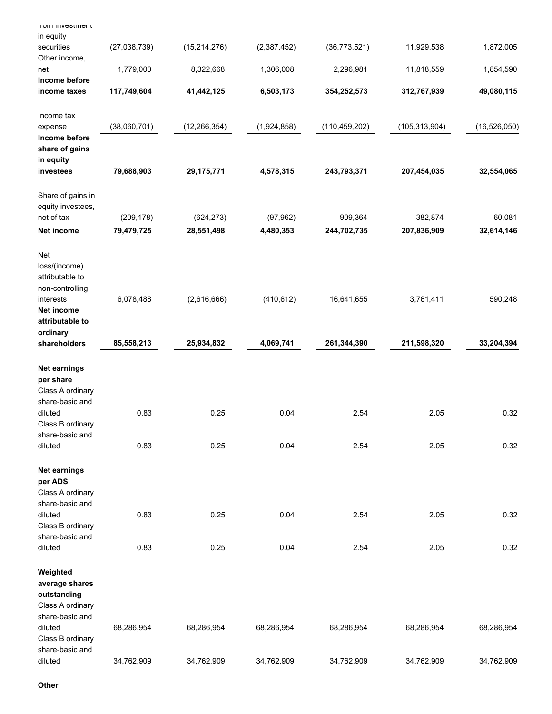| <b>HOHERING</b> HOHE                                                             |              |                |             |                 |                 |                |
|----------------------------------------------------------------------------------|--------------|----------------|-------------|-----------------|-----------------|----------------|
| in equity                                                                        |              |                |             |                 |                 |                |
| securities                                                                       | (27,038,739) | (15, 214, 276) | (2,387,452) | (36, 773, 521)  | 11,929,538      | 1,872,005      |
| Other income,                                                                    |              |                |             |                 |                 |                |
| net                                                                              | 1,779,000    | 8,322,668      | 1,306,008   | 2,296,981       | 11,818,559      | 1,854,590      |
| Income before                                                                    |              |                |             |                 |                 |                |
| income taxes                                                                     | 117,749,604  | 41,442,125     | 6,503,173   | 354,252,573     | 312,767,939     | 49,080,115     |
| Income tax                                                                       |              |                |             |                 |                 |                |
| expense                                                                          | (38,060,701) | (12, 266, 354) | (1,924,858) | (110, 459, 202) | (105, 313, 904) | (16, 526, 050) |
| Income before                                                                    |              |                |             |                 |                 |                |
| share of gains                                                                   |              |                |             |                 |                 |                |
| in equity                                                                        |              |                |             |                 |                 |                |
| investees                                                                        | 79,688,903   | 29,175,771     | 4,578,315   | 243,793,371     | 207,454,035     | 32,554,065     |
| Share of gains in                                                                |              |                |             |                 |                 |                |
| equity investees,                                                                |              |                |             |                 |                 |                |
| net of tax                                                                       | (209, 178)   | (624, 273)     | (97, 962)   | 909,364         | 382,874         | 60,081         |
| <b>Net income</b>                                                                | 79,479,725   | 28,551,498     | 4,480,353   | 244,702,735     | 207,836,909     | 32,614,146     |
| Net<br>loss/(income)<br>attributable to<br>non-controlling                       |              |                |             |                 |                 |                |
| interests                                                                        | 6,078,488    | (2,616,666)    | (410, 612)  | 16,641,655      | 3,761,411       | 590,248        |
| <b>Net income</b>                                                                |              |                |             |                 |                 |                |
| attributable to                                                                  |              |                |             |                 |                 |                |
| ordinary                                                                         |              |                |             |                 |                 |                |
| shareholders                                                                     | 85,558,213   | 25,934,832     | 4,069,741   | 261,344,390     | 211,598,320     | 33,204,394     |
| <b>Net earnings</b>                                                              |              |                |             |                 |                 |                |
| per share                                                                        |              |                |             |                 |                 |                |
| Class A ordinary                                                                 |              |                |             |                 |                 |                |
| share-basic and                                                                  |              |                |             |                 |                 |                |
| diluted                                                                          | 0.83         | 0.25           | 0.04        | 2.54            | 2.05            | 0.32           |
| Class B ordinary                                                                 |              |                |             |                 |                 |                |
| share-basic and                                                                  |              |                |             |                 |                 |                |
| diluted                                                                          | 0.83         | 0.25           | 0.04        | 2.54            | 2.05            | 0.32           |
| Net earnings                                                                     |              |                |             |                 |                 |                |
| per ADS                                                                          |              |                |             |                 |                 |                |
| Class A ordinary                                                                 |              |                |             |                 |                 |                |
| share-basic and                                                                  |              |                |             |                 |                 |                |
| diluted                                                                          | 0.83         | 0.25           | 0.04        | 2.54            | 2.05            | 0.32           |
| Class B ordinary                                                                 |              |                |             |                 |                 |                |
| share-basic and                                                                  |              |                |             |                 |                 |                |
| diluted                                                                          | 0.83         | 0.25           | 0.04        | 2.54            | 2.05            | 0.32           |
| Weighted<br>average shares<br>outstanding<br>Class A ordinary<br>share-basic and |              |                |             |                 |                 |                |
| diluted<br>Class B ordinary<br>share-basic and                                   | 68,286,954   | 68,286,954     | 68,286,954  | 68,286,954      | 68,286,954      | 68,286,954     |
| diluted                                                                          | 34,762,909   | 34,762,909     | 34,762,909  | 34,762,909      | 34,762,909      | 34,762,909     |
|                                                                                  |              |                |             |                 |                 |                |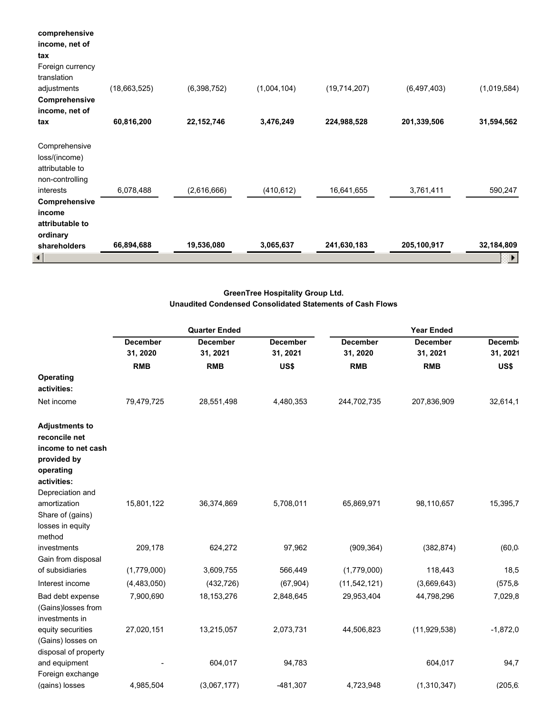| comprehensive    |              |              |             |              |             |             |
|------------------|--------------|--------------|-------------|--------------|-------------|-------------|
| income, net of   |              |              |             |              |             |             |
| tax              |              |              |             |              |             |             |
| Foreign currency |              |              |             |              |             |             |
| translation      |              |              |             |              |             |             |
| adjustments      | (18,663,525) | (6,398,752)  | (1,004,104) | (19,714,207) | (6,497,403) | (1,019,584) |
| Comprehensive    |              |              |             |              |             |             |
| income, net of   |              |              |             |              |             |             |
| tax              | 60,816,200   | 22, 152, 746 | 3,476,249   | 224,988,528  | 201,339,506 | 31,594,562  |
|                  |              |              |             |              |             |             |
| Comprehensive    |              |              |             |              |             |             |
| loss/(income)    |              |              |             |              |             |             |
| attributable to  |              |              |             |              |             |             |
| non-controlling  |              |              |             |              |             |             |
| interests        | 6,078,488    | (2,616,666)  | (410, 612)  | 16,641,655   | 3,761,411   | 590,247     |
| Comprehensive    |              |              |             |              |             |             |
| income           |              |              |             |              |             |             |
| attributable to  |              |              |             |              |             |             |
| ordinary         |              |              |             |              |             |             |
| shareholders     | 66,894,688   | 19,536,080   | 3,065,637   | 241,630,183  | 205,100,917 | 32,184,809  |
| ◀                |              |              |             |              |             |             |

#### **GreenTree Hospitality Group Ltd.**

**Unaudited Condensed Consolidated Statements of Cash Flows**

|                                                              | <b>Quarter Ended</b> |                 |                 |                 | <b>Year Ended</b> |               |
|--------------------------------------------------------------|----------------------|-----------------|-----------------|-----------------|-------------------|---------------|
|                                                              | <b>December</b>      | <b>December</b> | <b>December</b> | <b>December</b> | <b>December</b>   | <b>Decemb</b> |
|                                                              | 31, 2020<br>31, 2021 | 31, 2021        | 31, 2020        | 31, 2021        | 31, 2021          |               |
|                                                              | <b>RMB</b>           | <b>RMB</b>      | US\$            | <b>RMB</b>      | <b>RMB</b>        | US\$          |
| <b>Operating</b><br>activities:                              |                      |                 |                 |                 |                   |               |
| Net income                                                   | 79,479,725           | 28,551,498      | 4,480,353       | 244,702,735     | 207,836,909       | 32,614,1      |
| <b>Adjustments to</b><br>reconcile net<br>income to net cash |                      |                 |                 |                 |                   |               |
| provided by                                                  |                      |                 |                 |                 |                   |               |
| operating                                                    |                      |                 |                 |                 |                   |               |
| activities:                                                  |                      |                 |                 |                 |                   |               |
| Depreciation and                                             |                      |                 |                 |                 |                   |               |
| amortization                                                 | 15,801,122           | 36,374,869      | 5,708,011       | 65,869,971      | 98,110,657        | 15,395,7      |
| Share of (gains)<br>losses in equity                         |                      |                 |                 |                 |                   |               |
| method                                                       |                      |                 |                 |                 |                   |               |
| investments                                                  | 209,178              | 624,272         | 97,962          | (909, 364)      | (382, 874)        | (60, 0)       |
| Gain from disposal                                           |                      |                 |                 |                 |                   |               |
| of subsidiaries                                              | (1,779,000)          | 3,609,755       | 566,449         | (1,779,000)     | 118,443           | 18,5          |
| Interest income                                              | (4,483,050)          | (432, 726)      | (67, 904)       | (11,542,121)    | (3,669,643)       | (575, 8       |
| Bad debt expense                                             | 7,900,690            | 18, 153, 276    | 2,848,645       | 29,953,404      | 44,798,296        | 7,029,8       |
| (Gains) losses from                                          |                      |                 |                 |                 |                   |               |
| investments in                                               |                      |                 |                 |                 |                   |               |
| equity securities                                            | 27,020,151           | 13,215,057      | 2,073,731       | 44,506,823      | (11,929,538)      | $-1,872,0$    |
| (Gains) losses on                                            |                      |                 |                 |                 |                   |               |
| disposal of property                                         |                      |                 |                 |                 |                   |               |
| and equipment<br>Foreign exchange                            |                      | 604,017         | 94,783          |                 | 604,017           | 94,7          |
| (gains) losses                                               | 4,985,504            | (3,067,177)     | $-481,307$      | 4,723,948       | (1,310,347)       | (205, 6)      |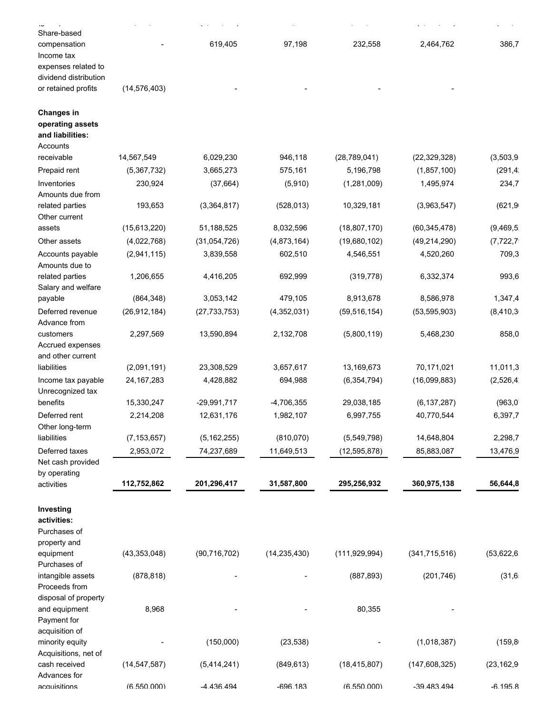| Share-based                                  |                |                |                |                 |                 |              |
|----------------------------------------------|----------------|----------------|----------------|-----------------|-----------------|--------------|
| compensation                                 |                | 619,405        | 97,198         | 232,558         | 2,464,762       | 386,7        |
| Income tax                                   |                |                |                |                 |                 |              |
| expenses related to<br>dividend distribution |                |                |                |                 |                 |              |
| or retained profits                          | (14, 576, 403) |                |                |                 |                 |              |
|                                              |                |                |                |                 |                 |              |
| <b>Changes in</b><br>operating assets        |                |                |                |                 |                 |              |
| and liabilities:                             |                |                |                |                 |                 |              |
| Accounts                                     |                |                |                |                 |                 |              |
| receivable                                   | 14,567,549     | 6,029,230      | 946,118        | (28, 789, 041)  | (22, 329, 328)  | (3,503,9)    |
| Prepaid rent                                 | (5,367,732)    | 3,665,273      | 575,161        | 5,196,798       | (1,857,100)     | (291, 4)     |
| Inventories                                  | 230,924        | (37, 664)      | (5,910)        | (1,281,009)     | 1,495,974       | 234,7        |
| Amounts due from                             |                |                |                |                 |                 |              |
| related parties<br>Other current             | 193,653        | (3,364,817)    | (528, 013)     | 10,329,181      | (3,963,547)     | (621, 90)    |
| assets                                       | (15,613,220)   | 51,188,525     | 8,032,596      | (18, 807, 170)  | (60, 345, 478)  | (9,469,5)    |
| Other assets                                 | (4,022,768)    | (31,054,726)   | (4,873,164)    | (19,680,102)    | (49, 214, 290)  | (7, 722, 7)  |
| Accounts payable                             | (2,941,115)    | 3,839,558      | 602,510        | 4,546,551       | 4,520,260       | 709,3        |
| Amounts due to                               |                |                |                |                 |                 |              |
| related parties                              | 1,206,655      | 4,416,205      | 692,999        | (319, 778)      | 6,332,374       | 993,6        |
| Salary and welfare<br>payable                | (864, 348)     | 3,053,142      | 479,105        | 8,913,678       | 8,586,978       | 1,347,4      |
| Deferred revenue                             | (26, 912, 184) | (27, 733, 753) | (4,352,031)    | (59, 516, 154)  | (53, 595, 903)  | (8,410,3)    |
| Advance from                                 |                |                |                |                 |                 |              |
| customers                                    | 2,297,569      | 13,590,894     | 2,132,708      | (5,800,119)     | 5,468,230       | 858,0        |
| Accrued expenses                             |                |                |                |                 |                 |              |
| and other current                            |                |                |                |                 |                 |              |
| liabilities                                  | (2,091,191)    | 23,308,529     | 3,657,617      | 13,169,673      | 70,171,021      | 11,011,3     |
| Income tax payable                           | 24, 167, 283   | 4,428,882      | 694,988        | (6, 354, 794)   | (16,099,883)    | (2,526,4)    |
| Unrecognized tax                             |                |                |                |                 |                 |              |
| benefits                                     | 15,330,247     | -29,991,717    | $-4,706,355$   | 29,038,185      | (6, 137, 287)   | (963,0)      |
| Deferred rent<br>Other long-term             | 2,214,208      | 12,631,176     | 1,982,107      | 6,997,755       | 40,770,544      | 6,397,7      |
| liabilities                                  | (7, 153, 657)  | (5, 162, 255)  | (810, 070)     | (5,549,798)     | 14,648,804      | 2,298,7      |
| Deferred taxes                               | 2,953,072      | 74,237,689     | 11,649,513     | (12, 595, 878)  | 85,883,087      | 13,476,9     |
| Net cash provided                            |                |                |                |                 |                 |              |
| by operating                                 |                |                |                |                 |                 |              |
| activities                                   | 112,752,862    | 201,296,417    | 31,587,800     | 295,256,932     | 360,975,138     | 56,644,8     |
| Investing                                    |                |                |                |                 |                 |              |
| activities:                                  |                |                |                |                 |                 |              |
| Purchases of                                 |                |                |                |                 |                 |              |
| property and                                 |                |                |                |                 |                 |              |
| equipment<br>Purchases of                    | (43, 353, 048) | (90, 716, 702) | (14, 235, 430) | (111, 929, 994) | (341, 715, 516) | (53, 622, 6) |
| intangible assets                            | (878, 818)     |                |                | (887, 893)      | (201, 746)      | (31,6)       |
| Proceeds from                                |                |                |                |                 |                 |              |
| disposal of property                         |                |                |                |                 |                 |              |
| and equipment                                | 8,968          |                |                | 80,355          |                 |              |
| Payment for                                  |                |                |                |                 |                 |              |
| acquisition of<br>minority equity            |                | (150,000)      | (23, 538)      |                 | (1,018,387)     | (159, 8)     |
| Acquisitions, net of                         |                |                |                |                 |                 |              |
| cash received                                | (14, 547, 587) | (5,414,241)    | (849, 613)     | (18, 415, 807)  | (147,608,325)   | (23, 162, 9) |
| Advances for                                 |                |                |                |                 |                 |              |
| acquisitions                                 | (6.550.000)    | $-4.436.494$   | $-696.183$     | (6.550.000)     | $-39.483.494$   | $-6.195.8$   |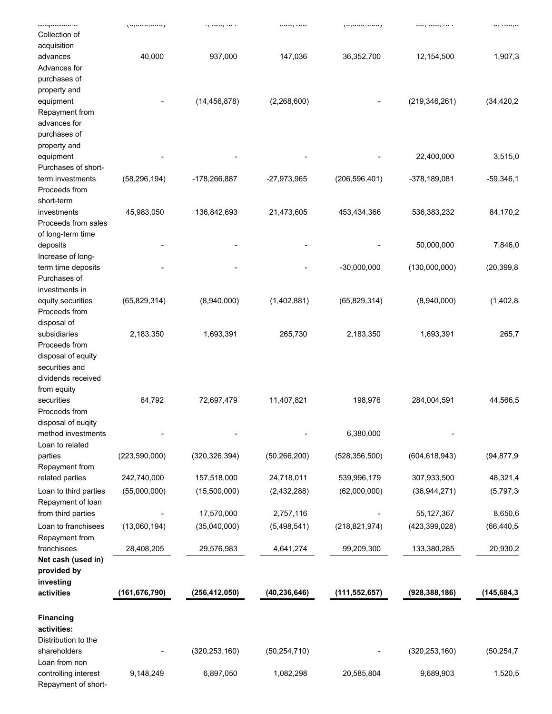| uuquiuiuuiu           | $\mathbf{v}$    | .,              | ,              | $\cdots$        | .               | $\backsim, \, \cdot \backsim\backsim, \backsim$ |
|-----------------------|-----------------|-----------------|----------------|-----------------|-----------------|-------------------------------------------------|
| Collection of         |                 |                 |                |                 |                 |                                                 |
| acquisition           |                 |                 |                |                 |                 |                                                 |
| advances              | 40,000          | 937,000         | 147,036        | 36,352,700      | 12,154,500      | 1,907,3                                         |
| Advances for          |                 |                 |                |                 |                 |                                                 |
| purchases of          |                 |                 |                |                 |                 |                                                 |
| property and          |                 |                 |                |                 |                 |                                                 |
|                       |                 |                 |                |                 |                 |                                                 |
| equipment             |                 | (14, 456, 878)  | (2,268,600)    |                 | (219, 346, 261) | (34, 420, 2)                                    |
| Repayment from        |                 |                 |                |                 |                 |                                                 |
| advances for          |                 |                 |                |                 |                 |                                                 |
| purchases of          |                 |                 |                |                 |                 |                                                 |
| property and          |                 |                 |                |                 |                 |                                                 |
| equipment             |                 |                 |                |                 | 22,400,000      | 3,515,0                                         |
| Purchases of short-   |                 |                 |                |                 |                 |                                                 |
| term investments      | (58, 296, 194)  | -178,266,887    | -27,973,965    | (206, 596, 401) | -378,189,081    | $-59,346,1$                                     |
| Proceeds from         |                 |                 |                |                 |                 |                                                 |
| short-term            |                 |                 |                |                 |                 |                                                 |
| investments           | 45,983,050      | 136,842,693     | 21,473,605     | 453,434,366     | 536,383,232     | 84,170,2                                        |
| Proceeds from sales   |                 |                 |                |                 |                 |                                                 |
|                       |                 |                 |                |                 |                 |                                                 |
| of long-term time     |                 |                 |                |                 |                 |                                                 |
| deposits              |                 |                 |                |                 | 50,000,000      | 7,846,0                                         |
| Increase of long-     |                 |                 |                |                 |                 |                                                 |
| term time deposits    |                 |                 |                | $-30,000,000$   | (130,000,000)   | (20, 399, 8)                                    |
| Purchases of          |                 |                 |                |                 |                 |                                                 |
| investments in        |                 |                 |                |                 |                 |                                                 |
| equity securities     | (65, 829, 314)  | (8,940,000)     | (1,402,881)    | (65, 829, 314)  | (8,940,000)     | (1, 402, 8)                                     |
| Proceeds from         |                 |                 |                |                 |                 |                                                 |
| disposal of           |                 |                 |                |                 |                 |                                                 |
| subsidiaries          | 2,183,350       | 1,693,391       | 265,730        | 2,183,350       | 1,693,391       | 265,7                                           |
| Proceeds from         |                 |                 |                |                 |                 |                                                 |
|                       |                 |                 |                |                 |                 |                                                 |
| disposal of equity    |                 |                 |                |                 |                 |                                                 |
| securities and        |                 |                 |                |                 |                 |                                                 |
| dividends received    |                 |                 |                |                 |                 |                                                 |
| from equity           |                 |                 |                |                 |                 |                                                 |
| securities            | 64,792          | 72,697,479      | 11,407,821     | 198,976         | 284,004,591     | 44,566,5                                        |
| Proceeds from         |                 |                 |                |                 |                 |                                                 |
| disposal of eugity    |                 |                 |                |                 |                 |                                                 |
| method investments    |                 |                 |                | 6,380,000       |                 |                                                 |
| Loan to related       |                 |                 |                |                 |                 |                                                 |
| parties               | (223, 590, 000) | (320, 326, 394) | (50, 266, 200) | (528, 356, 500) | (604, 618, 943) | (94, 877, 9                                     |
| Repayment from        |                 |                 |                |                 |                 |                                                 |
|                       |                 |                 |                |                 |                 |                                                 |
| related parties       | 242,740,000     | 157,518,000     | 24,718,011     | 539,996,179     | 307,933,500     | 48,321,4                                        |
| Loan to third parties | (55,000,000)    | (15,500,000)    | (2,432,288)    | (62,000,000)    | (36, 944, 271)  | (5,797,3)                                       |
| Repayment of loan     |                 |                 |                |                 |                 |                                                 |
| from third parties    |                 | 17,570,000      | 2,757,116      |                 | 55, 127, 367    | 8,650,6                                         |
| Loan to franchisees   | (13,060,194)    | (35,040,000)    | (5,498,541)    | (218, 821, 974) | (423, 399, 028) | (66, 440, 5                                     |
| Repayment from        |                 |                 |                |                 |                 |                                                 |
|                       |                 |                 |                |                 |                 |                                                 |
| franchisees           | 28,408,205      | 29,576,983      | 4,641,274      | 99,209,300      | 133,380,285     | 20,930,2                                        |
| Net cash (used in)    |                 |                 |                |                 |                 |                                                 |
| provided by           |                 |                 |                |                 |                 |                                                 |
| investing             |                 |                 |                |                 |                 |                                                 |
| activities            | (161, 676, 790) | (256, 412, 050) | (40, 236, 646) | (111, 552, 657) | (928, 388, 186) | (145, 684, 3                                    |
|                       |                 |                 |                |                 |                 |                                                 |
| <b>Financing</b>      |                 |                 |                |                 |                 |                                                 |
| activities:           |                 |                 |                |                 |                 |                                                 |
| Distribution to the   |                 |                 |                |                 |                 |                                                 |
| shareholders          |                 | (320, 253, 160) | (50, 254, 710) |                 | (320, 253, 160) | (50, 254, 7)                                    |
|                       |                 |                 |                |                 |                 |                                                 |
| Loan from non         |                 |                 |                |                 |                 |                                                 |
| controlling interest  | 9,148,249       | 6,897,050       | 1,082,298      | 20,585,804      | 9,689,903       | 1,520,5                                         |
| Repayment of short-   |                 |                 |                |                 |                 |                                                 |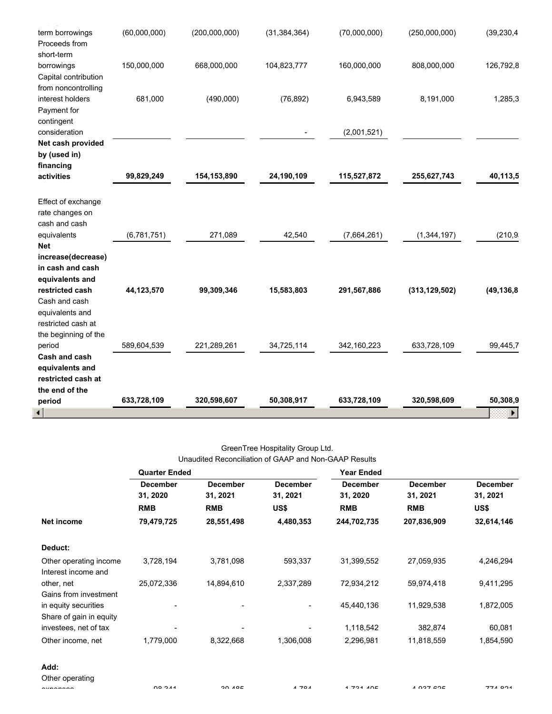| term borrowings<br>Proceeds from                       | (60,000,000) | (200,000,000) | (31, 384, 364) | (70,000,000) | (250,000,000)   | (39, 230, 4) |
|--------------------------------------------------------|--------------|---------------|----------------|--------------|-----------------|--------------|
| short-term<br>borrowings<br>Capital contribution       | 150,000,000  | 668,000,000   | 104,823,777    | 160,000,000  | 808,000,000     | 126,792,8    |
| from noncontrolling<br>interest holders<br>Payment for | 681,000      | (490,000)     | (76, 892)      | 6,943,589    | 8,191,000       | 1,285,3      |
| contingent<br>consideration<br>Net cash provided       |              |               |                | (2,001,521)  |                 |              |
| by (used in)<br>financing<br>activities                | 99,829,249   | 154,153,890   | 24,190,109     | 115,527,872  | 255,627,743     | 40,113,5     |
|                                                        |              |               |                |              |                 |              |
| Effect of exchange<br>rate changes on<br>cash and cash |              |               |                |              |                 |              |
| equivalents<br><b>Net</b>                              | (6,781,751)  | 271,089       | 42,540         | (7,664,261)  | (1, 344, 197)   | (210, 9)     |
| increase(decrease)<br>in cash and cash                 |              |               |                |              |                 |              |
| equivalents and<br>restricted cash<br>Cash and cash    | 44,123,570   | 99,309,346    | 15,583,803     | 291,567,886  | (313, 129, 502) | (49, 136, 8) |
| equivalents and<br>restricted cash at                  |              |               |                |              |                 |              |
| the beginning of the<br>period                         | 589,604,539  | 221,289,261   | 34,725,114     | 342,160,223  | 633,728,109     | 99,445,7     |
| Cash and cash<br>equivalents and                       |              |               |                |              |                 |              |
| restricted cash at                                     |              |               |                |              |                 |              |
| the end of the<br>period                               | 633,728,109  | 320,598,607   | 50,308,917     | 633,728,109  | 320,598,609     | 50,308,9     |
| ◀                                                      |              |               |                |              |                 | ▶            |

### GreenTree Hospitality Group Ltd.

Unaudited Reconciliation of GAAP and Non-GAAP Results

|                                                 | <b>Quarter Ended</b>        |                             |                             | <b>Year Ended</b>           |                             |                             |
|-------------------------------------------------|-----------------------------|-----------------------------|-----------------------------|-----------------------------|-----------------------------|-----------------------------|
|                                                 | <b>December</b><br>31, 2020 | <b>December</b><br>31, 2021 | <b>December</b><br>31, 2021 | <b>December</b><br>31, 2020 | <b>December</b><br>31, 2021 | <b>December</b><br>31, 2021 |
|                                                 | <b>RMB</b>                  | <b>RMB</b>                  | US\$                        | <b>RMB</b>                  | <b>RMB</b>                  | US\$                        |
| <b>Net income</b>                               | 79,479,725                  | 28,551,498                  | 4,480,353                   | 244,702,735                 | 207,836,909                 | 32,614,146                  |
| Deduct:                                         |                             |                             |                             |                             |                             |                             |
| Other operating income<br>Interest income and   | 3,728,194                   | 3,781,098                   | 593,337                     | 31,399,552                  | 27,059,935                  | 4,246,294                   |
| other, net<br>Gains from investment             | 25,072,336                  | 14,894,610                  | 2,337,289                   | 72,934,212                  | 59,974,418                  | 9,411,295                   |
| in equity securities<br>Share of gain in equity |                             |                             |                             | 45,440,136                  | 11,929,538                  | 1,872,005                   |
| investees, net of tax                           |                             |                             |                             | 1,118,542                   | 382,874                     | 60,081                      |
| Other income, net                               | 1,779,000                   | 8,322,668                   | 1,306,008                   | 2,296,981                   | 11,818,559                  | 1,854,590                   |
| Add:                                            |                             |                             |                             |                             |                             |                             |

expenses and the contract of the contract of the contract of the contract of the contract of the contract of t<br>The contract of the contract of the contract of the contract of the contract of the contract of the contract o

Other operating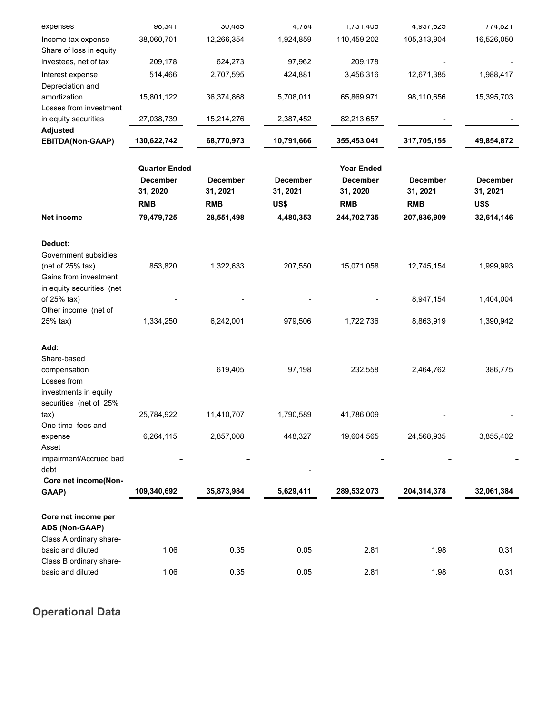| expenses                            | 98,341               | <b>30,485</b>   | 4,104           | 1,731,405         | 4,931,020       | 114,021         |
|-------------------------------------|----------------------|-----------------|-----------------|-------------------|-----------------|-----------------|
| Income tax expense                  | 38,060,701           | 12,266,354      | 1,924,859       | 110,459,202       | 105,313,904     | 16,526,050      |
| Share of loss in equity             |                      |                 |                 |                   |                 |                 |
| investees, net of tax               | 209,178              | 624,273         | 97,962          | 209,178           |                 |                 |
| Interest expense                    | 514,466              | 2,707,595       | 424,881         | 3,456,316         | 12,671,385      | 1,988,417       |
| Depreciation and<br>amortization    | 15,801,122           | 36,374,868      | 5,708,011       | 65,869,971        | 98,110,656      | 15,395,703      |
| Losses from investment              |                      |                 |                 |                   |                 |                 |
| in equity securities                | 27,038,739           | 15,214,276      | 2,387,452       | 82,213,657        |                 |                 |
| <b>Adjusted</b><br>EBITDA(Non-GAAP) | 130,622,742          | 68,770,973      | 10,791,666      | 355,453,041       | 317,705,155     | 49,854,872      |
|                                     |                      |                 |                 |                   |                 |                 |
|                                     | <b>Quarter Ended</b> |                 |                 | <b>Year Ended</b> |                 |                 |
|                                     | <b>December</b>      | <b>December</b> | <b>December</b> | <b>December</b>   | <b>December</b> | <b>December</b> |
|                                     | 31, 2020             | 31, 2021        | 31, 2021        | 31, 2020          | 31, 2021        | 31, 2021        |
|                                     | <b>RMB</b>           | <b>RMB</b>      | US\$            | <b>RMB</b>        | <b>RMB</b>      | US\$            |
| Net income                          | 79,479,725           | 28,551,498      | 4,480,353       | 244,702,735       | 207,836,909     | 32,614,146      |
|                                     |                      |                 |                 |                   |                 |                 |
| Deduct:                             |                      |                 |                 |                   |                 |                 |
| Government subsidies                |                      |                 |                 |                   |                 |                 |
| (net of 25% tax)                    | 853,820              | 1,322,633       | 207,550         | 15,071,058        | 12,745,154      | 1,999,993       |
| Gains from investment               |                      |                 |                 |                   |                 |                 |
| in equity securities (net           |                      |                 |                 |                   |                 |                 |
| of $25%$ tax)                       |                      |                 |                 |                   | 8,947,154       | 1,404,004       |
|                                     |                      |                 |                 |                   |                 |                 |
| Other income (net of                |                      |                 |                 |                   |                 |                 |
| 25% tax)                            | 1,334,250            | 6,242,001       | 979,506         | 1,722,736         | 8,863,919       | 1,390,942       |
| Add:                                |                      |                 |                 |                   |                 |                 |
| Share-based                         |                      |                 |                 |                   |                 |                 |
| compensation                        |                      | 619,405         | 97,198          | 232,558           | 2,464,762       | 386,775         |
| Losses from                         |                      |                 |                 |                   |                 |                 |
| investments in equity               |                      |                 |                 |                   |                 |                 |
| securities (net of 25%              |                      |                 |                 |                   |                 |                 |
| tax)                                | 25,784,922           | 11,410,707      | 1,790,589       | 41,786,009        |                 |                 |
| One-time fees and                   |                      |                 |                 |                   |                 |                 |
| expense                             | 6,264,115            | 2,857,008       | 448,327         | 19,604,565        | 24,568,935      | 3,855,402       |
| Asset                               |                      |                 |                 |                   |                 |                 |
| impairment/Accrued bad              |                      |                 |                 |                   |                 |                 |
| debt                                |                      |                 |                 |                   |                 |                 |
| Core net income(Non-                |                      |                 |                 |                   |                 |                 |
| GAAP)                               | 109,340,692          | 35,873,984      | 5,629,411       | 289,532,073       | 204,314,378     | 32,061,384      |
|                                     |                      |                 |                 |                   |                 |                 |
| Core net income per                 |                      |                 |                 |                   |                 |                 |
| ADS (Non-GAAP)                      |                      |                 |                 |                   |                 |                 |
| Class A ordinary share-             |                      |                 |                 |                   |                 |                 |
| basic and diluted                   | 1.06                 | 0.35            | 0.05            | 2.81              | 1.98            | 0.31            |
| Class B ordinary share-             |                      |                 |                 |                   |                 |                 |
| basic and diluted                   | 1.06                 | 0.35            | 0.05            | 2.81              | 1.98            | 0.31            |

# **Operational Data**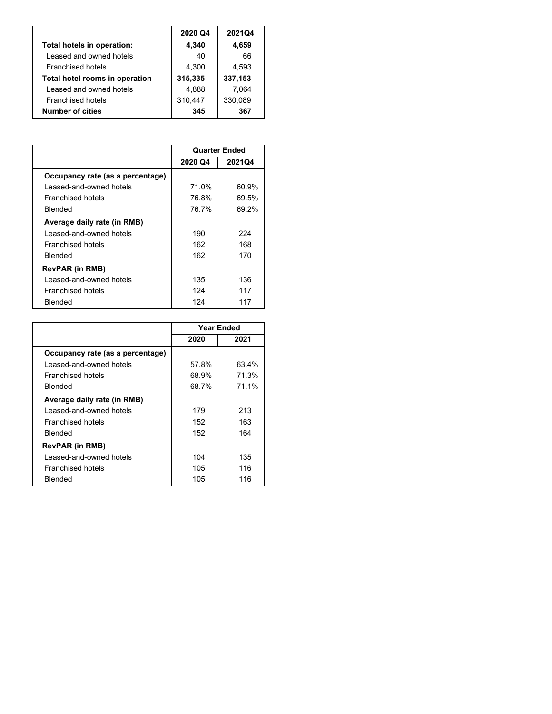|                                | 2020 Q4 | <b>2021Q4</b> |
|--------------------------------|---------|---------------|
| Total hotels in operation:     | 4,340   | 4,659         |
| Leased and owned hotels        | 40      | 66            |
| <b>Franchised hotels</b>       | 4,300   | 4,593         |
| Total hotel rooms in operation | 315,335 | 337,153       |
| Leased and owned hotels        | 4.888   | 7.064         |
| <b>Franchised hotels</b>       | 310,447 | 330,089       |
| <b>Number of cities</b>        | 345     | 367           |

|                                  | <b>Quarter Ended</b> |               |  |
|----------------------------------|----------------------|---------------|--|
|                                  | 2020 Q4              | <b>2021Q4</b> |  |
| Occupancy rate (as a percentage) |                      |               |  |
| Leased-and-owned hotels          | 71.0%                | 60.9%         |  |
| <b>Franchised hotels</b>         | 76.8%                | 69.5%         |  |
| <b>Blended</b>                   | 76.7%                | 69.2%         |  |
| Average daily rate (in RMB)      |                      |               |  |
| Leased-and-owned hotels          | 190                  | 224           |  |
| <b>Franchised hotels</b>         | 162                  | 168           |  |
| <b>Blended</b>                   | 162                  | 170           |  |
| <b>RevPAR (in RMB)</b>           |                      |               |  |
| Leased-and-owned hotels          | 135                  | 136           |  |
| <b>Franchised hotels</b>         | 124                  | 117           |  |
| Blended                          | 124                  | 117           |  |

|                                  | <b>Year Ended</b> |       |  |
|----------------------------------|-------------------|-------|--|
|                                  | 2020              | 2021  |  |
| Occupancy rate (as a percentage) |                   |       |  |
| Leased-and-owned hotels          | 57.8%             | 63.4% |  |
| <b>Franchised hotels</b>         | 68.9%             | 71.3% |  |
| <b>Blended</b>                   | 68.7%             | 71.1% |  |
| Average daily rate (in RMB)      |                   |       |  |
| Leased-and-owned hotels          | 179               | 213   |  |
| <b>Franchised hotels</b>         | 152               | 163   |  |
| <b>Blended</b>                   | 152               | 164   |  |
| <b>RevPAR (in RMB)</b>           |                   |       |  |
| Leased-and-owned hotels          | 104               | 135   |  |
| <b>Franchised hotels</b>         | 105               | 116   |  |
| Blended                          | 105               | 116   |  |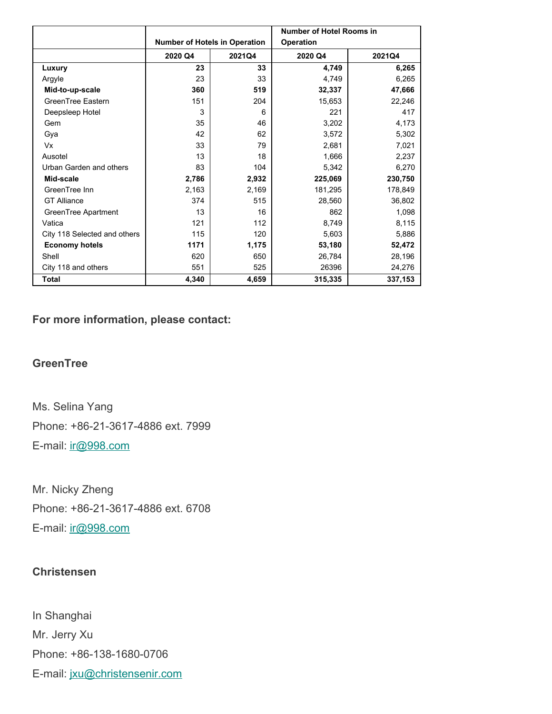|                              |                                      |        | <b>Number of Hotel Rooms in</b> |         |
|------------------------------|--------------------------------------|--------|---------------------------------|---------|
|                              | <b>Number of Hotels in Operation</b> |        | <b>Operation</b>                |         |
|                              | 2020 Q4                              | 2021Q4 | 2020 Q4                         | 2021Q4  |
| Luxury                       | 23                                   | 33     | 4,749                           | 6,265   |
| Argyle                       | 23                                   | 33     | 4,749                           | 6,265   |
| Mid-to-up-scale              | 360                                  | 519    | 32,337                          | 47,666  |
| GreenTree Eastern            | 151                                  | 204    | 15,653                          | 22,246  |
| Deepsleep Hotel              | 3                                    | 6      | 221                             | 417     |
| Gem                          | 35                                   | 46     | 3,202                           | 4,173   |
| Gya                          | 42                                   | 62     | 3,572                           | 5,302   |
| Vx                           | 33                                   | 79     | 2,681                           | 7,021   |
| Ausotel                      | 13                                   | 18     | 1,666                           | 2,237   |
| Urban Garden and others      | 83                                   | 104    | 5,342                           | 6,270   |
| Mid-scale                    | 2.786                                | 2.932  | 225,069                         | 230,750 |
| GreenTree Inn                | 2,163                                | 2,169  | 181,295                         | 178,849 |
| <b>GT Alliance</b>           | 374                                  | 515    | 28,560                          | 36,802  |
| GreenTree Apartment          | 13                                   | 16     | 862                             | 1,098   |
| Vatica                       | 121                                  | 112    | 8,749                           | 8,115   |
| City 118 Selected and others | 115                                  | 120    | 5,603                           | 5,886   |
| <b>Economy hotels</b>        | 1171                                 | 1,175  | 53,180                          | 52,472  |
| Shell                        | 620                                  | 650    | 26,784                          | 28,196  |
| City 118 and others          | 551                                  | 525    | 26396                           | 24,276  |
| <b>Total</b>                 | 4.340                                | 4.659  | 315.335                         | 337.153 |

## **For more information, please contact:**

### **GreenTree**

Ms. Selina Yang Phone: +86-21-3617-4886 ext. 7999 E-mail: [ir@998.com](mailto:ir@998.com)

Mr. Nicky Zheng Phone: +86-21-3617-4886 ext. 6708 E-mail: [ir@998.com](mailto:ir@998.com)

### **Christensen**

In Shanghai Mr. Jerry Xu Phone: +86-138-1680-0706 E-mail: [jxu@christensenir.com](mailto:jxu@christensenir.com)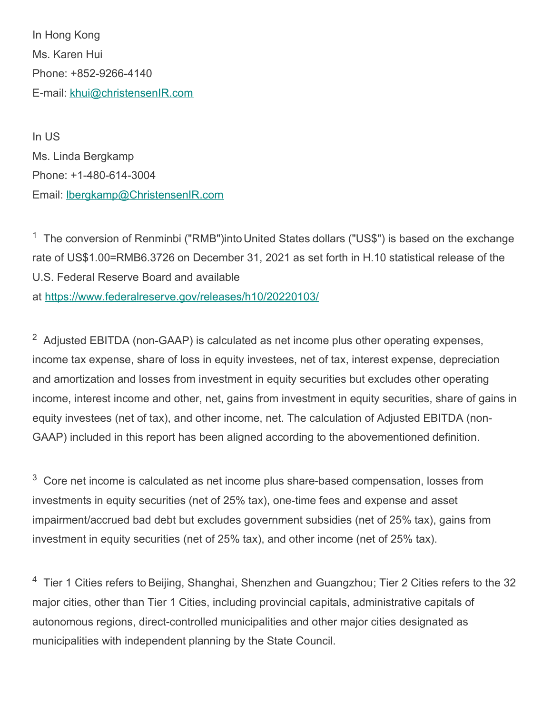In Hong Kong Ms. Karen Hui Phone: +852-9266-4140 E-mail: [khui@christensenIR.com](mailto:khui@christensenIR.com)

In US Ms. Linda Bergkamp Phone: +1-480-614-3004 Email: [lbergkamp@ChristensenIR.com](mailto:lbergkamp@ChristensenIR.com)

<sup>1</sup> The conversion of Renminbi ("RMB")into United States dollars ("US\$") is based on the exchange rate of US\$1.00=RMB6.3726 on December 31, 2021 as set forth in H.10 statistical release of the U.S. Federal Reserve Board and available at <https://www.federalreserve.gov/releases/h10/20220103/>

<sup>2</sup> Adjusted EBITDA (non-GAAP) is calculated as net income plus other operating expenses, income tax expense, share of loss in equity investees, net of tax, interest expense, depreciation and amortization and losses from investment in equity securities but excludes other operating income, interest income and other, net, gains from investment in equity securities, share of gains in equity investees (net of tax), and other income, net. The calculation of Adjusted EBITDA (non-GAAP) included in this report has been aligned according to the abovementioned definition.

Core net income is calculated as net income plus share-based compensation, losses from investments in equity securities (net of 25% tax), one-time fees and expense and asset impairment/accrued bad debt but excludes government subsidies (net of 25% tax), gains from investment in equity securities (net of 25% tax), and other income (net of 25% tax). 3

 $4$  Tier 1 Cities refers to Beijing, Shanghai, Shenzhen and Guangzhou; Tier 2 Cities refers to the 32 major cities, other than Tier 1 Cities, including provincial capitals, administrative capitals of autonomous regions, direct-controlled municipalities and other major cities designated as municipalities with independent planning by the State Council.